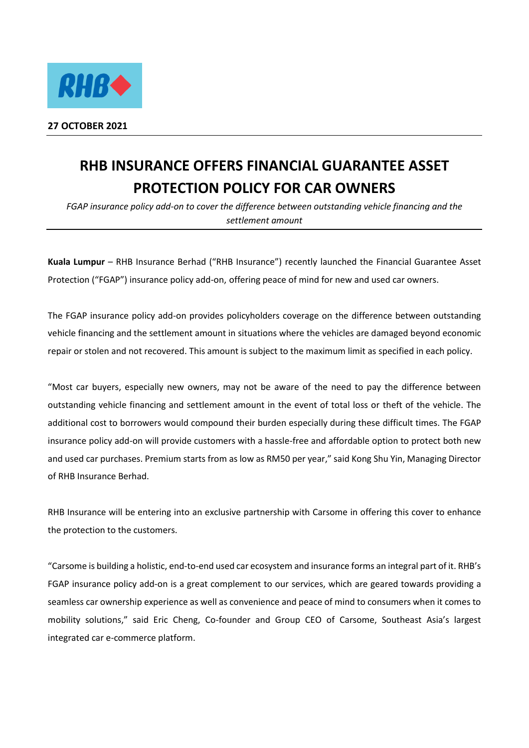

## **RHB INSURANCE OFFERS FINANCIAL GUARANTEE ASSET PROTECTION POLICY FOR CAR OWNERS**

*FGAP insurance policy add-on to cover the difference between outstanding vehicle financing and the settlement amount*

**Kuala Lumpur** – RHB Insurance Berhad ("RHB Insurance") recently launched the Financial Guarantee Asset Protection ("FGAP") insurance policy add-on, offering peace of mind for new and used car owners.

The FGAP insurance policy add-on provides policyholders coverage on the difference between outstanding vehicle financing and the settlement amount in situations where the vehicles are damaged beyond economic repair or stolen and not recovered. This amount is subject to the maximum limit as specified in each policy.

"Most car buyers, especially new owners, may not be aware of the need to pay the difference between outstanding vehicle financing and settlement amount in the event of total loss or theft of the vehicle. The additional cost to borrowers would compound their burden especially during these difficult times. The FGAP insurance policy add-on will provide customers with a hassle-free and affordable option to protect both new and used car purchases. Premium starts from as low as RM50 per year," said Kong Shu Yin, Managing Director of RHB Insurance Berhad.

RHB Insurance will be entering into an exclusive partnership with Carsome in offering this cover to enhance the protection to the customers.

"Carsome is building a holistic, end-to-end used car ecosystem and insurance forms an integral part of it. RHB's FGAP insurance policy add-on is a great complement to our services, which are geared towards providing a seamless car ownership experience as well as convenience and peace of mind to consumers when it comes to mobility solutions," said Eric Cheng, Co-founder and Group CEO of Carsome, Southeast Asia's largest integrated car e-commerce platform.